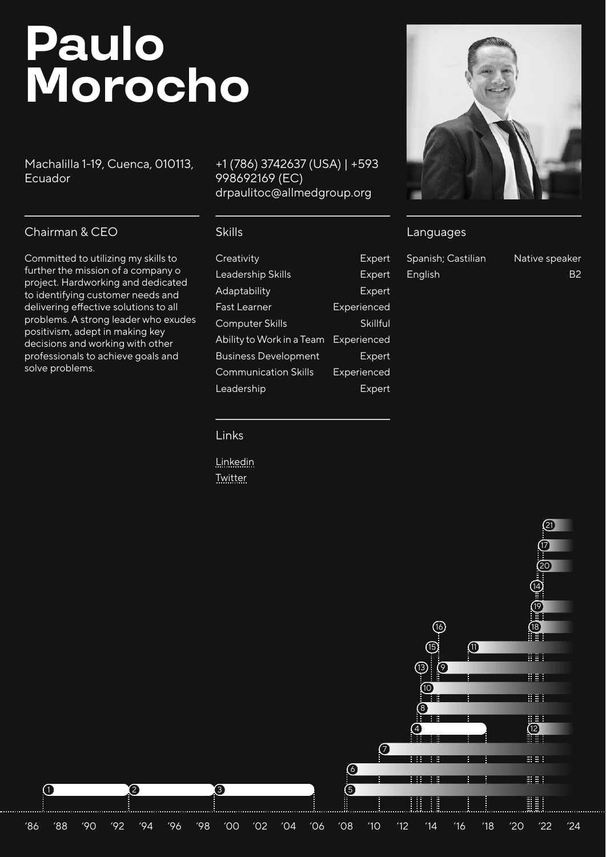# **Paulo Morocho**

Machalilla 1-19, Cuenca, 010113, Ecuador

#### [+1 \(786\) 3742637 \(USA\) | +593](tel:+1%20(786)%203742637%20(USA)%20%7C%20+593%20998692169%20(EC))  998692169 (EC) [drpaulitoc@allmedgroup.org](mailto:drpaulitoc@allmedgroup.org)

# Chairman & CEO

Committed to utilizing my skills to further the mission of a company o project. Hardworking and dedicated to identifying customer needs and delivering effective solutions to all problems. A strong leader who exudes positivism, adept in making key decisions and working with other professionals to achieve goals and solve problems.

#### Skills

| Creativity                  | Expert          |
|-----------------------------|-----------------|
| Leadership Skills           | Expert          |
| Adaptability                | Expert          |
| Fast Learner                | Experienced     |
| <b>Computer Skills</b>      | <b>Skillful</b> |
| Ability to Work in a Team   | Experienced     |
| <b>Business Development</b> | <b>Expert</b>   |
| <b>Communication Skills</b> | Experienced     |
| Leadership                  | Expert          |
|                             |                 |

#### Links

[Linkedin](https://www.linkedin.com/in/dr-paulo-cesar-morocho-escandon/) [Twitter](https://twitter.com/drpauloerc20)



## Languages

| Spanish; Castilian | Native speaker |
|--------------------|----------------|
| English            | <b>B2</b>      |

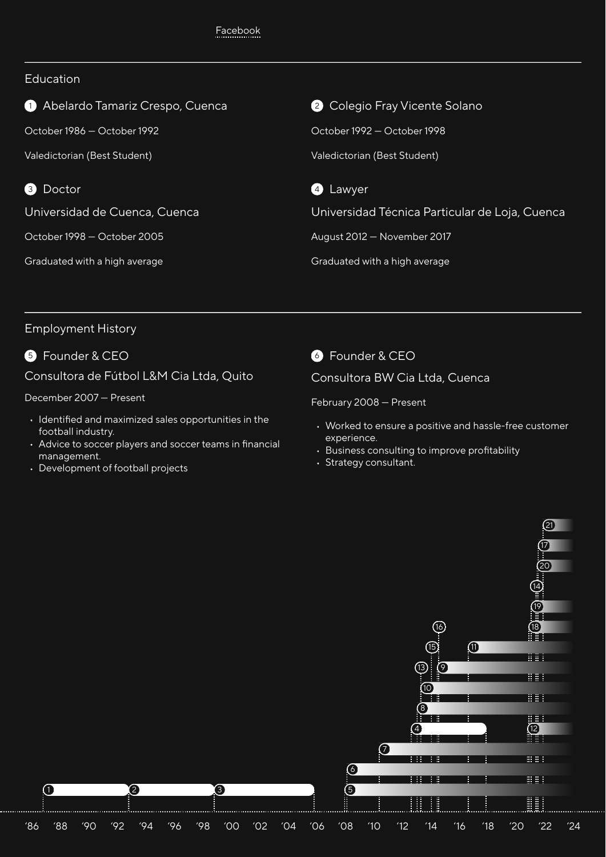#### Education

<sup>1</sup> Abelardo Tamariz Crespo, Cuenca

October 1986 — October 1992

Valedictorian (Best Student)

**3** Doctor

Universidad de Cuenca, Cuenca

October 1998 — October 2005

Graduated with a high average

**2** Colegio Fray Vicente Solano October 1992 — October 1998 Valedictorian (Best Student)



Universidad Técnica Particular de Loja, Cuenca

August 2012 — November 2017

Graduated with a high average

# Employment History

**6** Founder & CEO

Consultora de Fútbol L&M Cia Ltda, Quito

December 2007 — Present

- Identified and maximized sales opportunities in the football industry.
- Advice to soccer players and soccer teams in financial management.
- Development of football projects

**6** Founder & CEO

Consultora BW Cia Ltda, Cuenca

February 2008 — Present

- Worked to ensure a positive and hassle-free customer experience.
- Business consulting to improve profitability
- Strategy consultant.

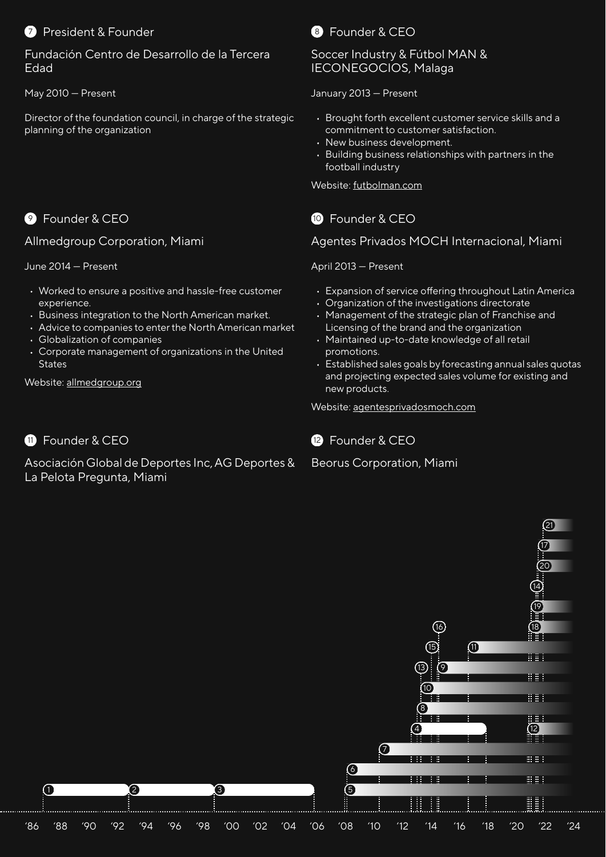# **2** President & Founder

Fundación Centro de Desarrollo de la Tercera Edad

May 2010 — Present

Director of the foundation council, in charge of the strategic planning of the organization

# **9** Founder & CFO

Allmedgroup Corporation, Miami

June 2014 — Present

- Worked to ensure a positive and hassle-free customer experience.
- Business integration to the North American market.
- Advice to companies to enter the North American market
- Globalization of companies
- Corporate management of organizations in the United **States**

Website: [allmedgroup.org](https://allmedgroup.org/)

# **11** Founder & CFO

Asociación Global de Deportes Inc, AG Deportes & La Pelota Pregunta, Miami



### Soccer Industry & Fútbol MAN & IECONEGOCIOS, Malaga

January 2013 — Present

- Brought forth excellent customer service skills and a commitment to customer satisfaction.
- New business development.
- Building business relationships with partners in the football industry

Website: [futbolman.com](https://futbolman.com/)

# **10** Founder & CFO

Agentes Privados MOCH Internacional, Miami

April 2013 — Present

- Expansion of service offering throughout Latin America
- Organization of the investigations directorate
- Management of the strategic plan of Franchise and Licensing of the brand and the organization
- Maintained up-to-date knowledge of all retail promotions.
- Established sales goals by forecasting annual sales quotas and projecting expected sales volume for existing and new products.

Website: [agentesprivadosmoch.com](https://agentesprivadosmoch.com/)



Beorus Corporation, Miami

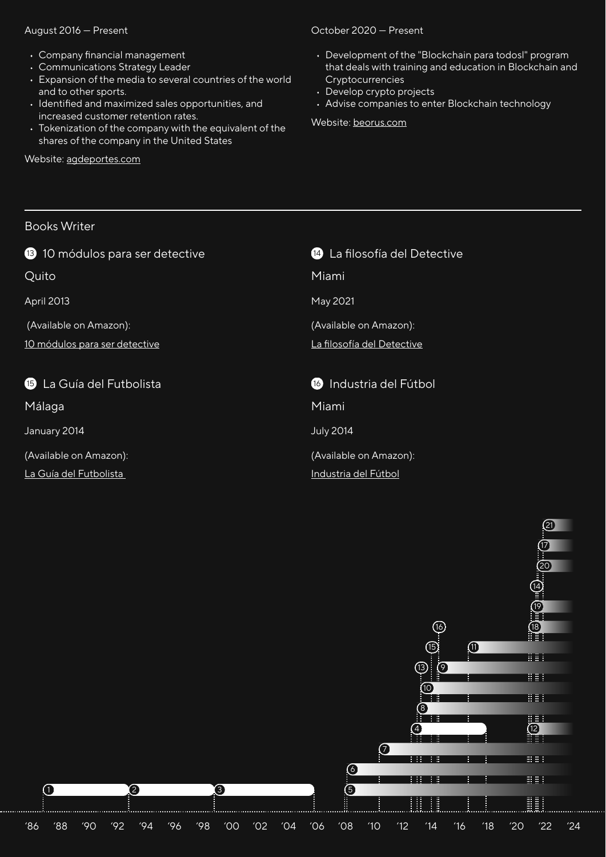#### August 2016 — Present

- Company financial management
- Communications Strategy Leader
- Expansion of the media to several countries of the world and to other sports.
- Identified and maximized sales opportunities, and increased customer retention rates.
- Tokenization of the company with the equivalent of the shares of the company in the United States

Website: [agdeportes.com](https://agdeportes.com/)

#### October 2020 — Present

- Development of the "Blockchain para todosl" program that deals with training and education in Blockchain and Cryptocurrencies
- Develop crypto projects
- Advise companies to enter Blockchain technology

Website: [beorus.com](https://beorus.com/)

#### Books Writer

Quito

April 2013

(Available on Amazon):

[10 módulos para ser detective](https://www.amazon.com/-/es/modulos-para-convertirse-Detective-Moch/dp/1502385570/)

**15** La Guía del Futbolista

Málaga

January 2014

(Available on Amazon):

[La Guía del Futbolista](https://amzn.to/3FIRBcc) 

| <sup>14</sup> La filosofía del Detective |  |
|------------------------------------------|--|
| Miami                                    |  |
| May 2021                                 |  |
| (Available on Amazon):                   |  |
| <u>La filosofía del Detective</u>        |  |
|                                          |  |
|                                          |  |
| 16 Industria del Fútbol                  |  |
| Miami                                    |  |
| <b>July 2014</b>                         |  |
| (Available on Amazon):                   |  |
| <u>Industria del Fútbol</u>              |  |